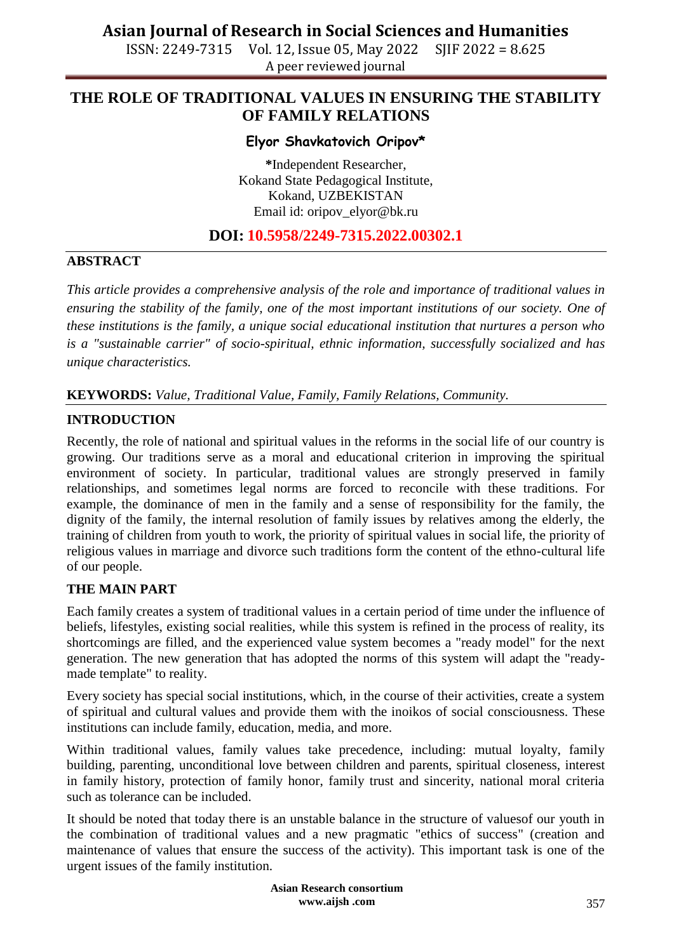ISSN: 2249-7315 Vol. 12, Issue 05, May 2022 SJIF 2022 = 8.625 A peer reviewed journal

## **THE ROLE OF TRADITIONAL VALUES IN ENSURING THE STABILITY OF FAMILY RELATIONS**

#### **Elyor Shavkatovich Oripov\***

**\***Independent Researcher, Kokand State Pedagogical Institute, Kokand, UZBEKISTAN Email id: [oripov\\_elyor@bk.ru](mailto:oripov_elyor@bk.ru)

### **DOI: 10.5958/2249-7315.2022.00302.1**

#### **ABSTRACT**

*This article provides a comprehensive analysis of the role and importance of traditional values in ensuring the stability of the family, one of the most important institutions of our society. One of these institutions is the family, a unique social educational institution that nurtures a person who is a "sustainable carrier" of socio-spiritual, ethnic information, successfully socialized and has unique characteristics.*

#### **KEYWORDS:** *Value, Traditional Value, Family, Family Relations, Community.*

#### **INTRODUCTION**

Recently, the role of national and spiritual values in the reforms in the social life of our country is growing. Our traditions serve as a moral and educational criterion in improving the spiritual environment of society. In particular, traditional values are strongly preserved in family relationships, and sometimes legal norms are forced to reconcile with these traditions. For example, the dominance of men in the family and a sense of responsibility for the family, the dignity of the family, the internal resolution of family issues by relatives among the elderly, the training of children from youth to work, the priority of spiritual values in social life, the priority of religious values in marriage and divorce such traditions form the content of the ethno-cultural life of our people.

### **THE MAIN PART**

Each family creates a system of traditional values in a certain period of time under the influence of beliefs, lifestyles, existing social realities, while this system is refined in the process of reality, its shortcomings are filled, and the experienced value system becomes a "ready model" for the next generation. The new generation that has adopted the norms of this system will adapt the "readymade template" to reality.

Every society has special social institutions, which, in the course of their activities, create a system of spiritual and cultural values and provide them with the inoikos of social consciousness. These institutions can include family, education, media, and more.

Within traditional values, family values take precedence, including: mutual loyalty, family building, parenting, unconditional love between children and parents, spiritual closeness, interest in family history, protection of family honor, family trust and sincerity, national moral criteria such as tolerance can be included.

It should be noted that today there is an unstable balance in the structure of valuesof our youth in the combination of traditional values and a new pragmatic "ethics of success" (creation and maintenance of values that ensure the success of the activity). This important task is one of the urgent issues of the family institution.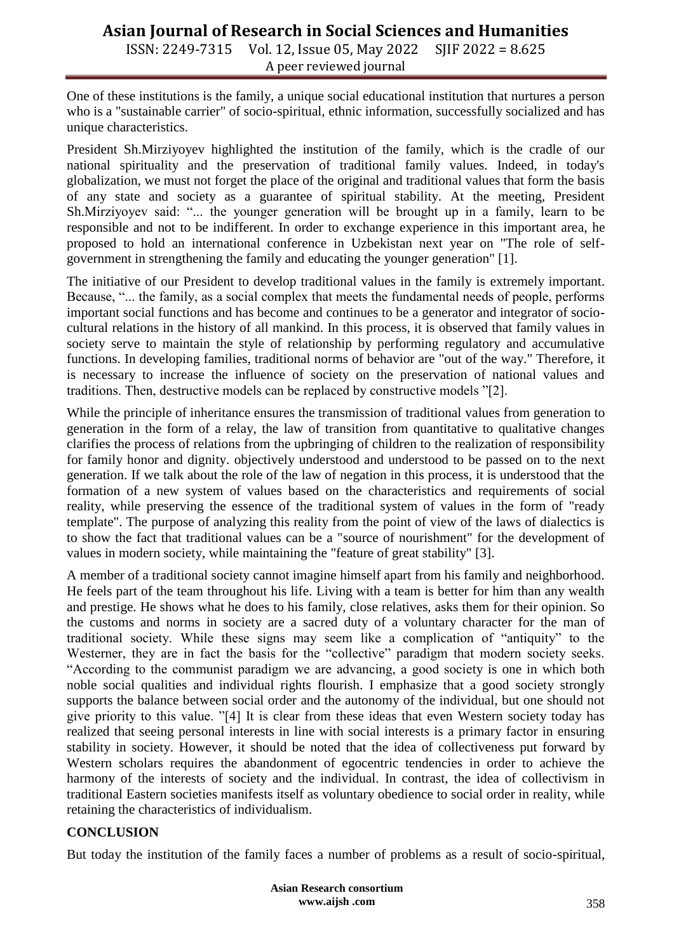# **Asian Journal of Research in Social Sciences and Humanities**

ISSN: 2249-7315 Vol. 12, Issue 05, May 2022 SJIF 2022 = 8.625 A peer reviewed journal

One of these institutions is the family, a unique social educational institution that nurtures a person who is a "sustainable carrier" of socio-spiritual, ethnic information, successfully socialized and has unique characteristics.

President Sh.Mirziyoyev highlighted the institution of the family, which is the cradle of our national spirituality and the preservation of traditional family values. Indeed, in today's globalization, we must not forget the place of the original and traditional values that form the basis of any state and society as a guarantee of spiritual stability. At the meeting, President Sh.Mirziyoyev said: "... the younger generation will be brought up in a family, learn to be responsible and not to be indifferent. In order to exchange experience in this important area, he proposed to hold an international conference in Uzbekistan next year on "The role of selfgovernment in strengthening the family and educating the younger generation" [1].

The initiative of our President to develop traditional values in the family is extremely important. Because, "... the family, as a social complex that meets the fundamental needs of people, performs important social functions and has become and continues to be a generator and integrator of sociocultural relations in the history of all mankind. In this process, it is observed that family values in society serve to maintain the style of relationship by performing regulatory and accumulative functions. In developing families, traditional norms of behavior are "out of the way." Therefore, it is necessary to increase the influence of society on the preservation of national values and traditions. Then, destructive models can be replaced by constructive models "[2].

While the principle of inheritance ensures the transmission of traditional values from generation to generation in the form of a relay, the law of transition from quantitative to qualitative changes clarifies the process of relations from the upbringing of children to the realization of responsibility for family honor and dignity. objectively understood and understood to be passed on to the next generation. If we talk about the role of the law of negation in this process, it is understood that the formation of a new system of values based on the characteristics and requirements of social reality, while preserving the essence of the traditional system of values in the form of "ready template". The purpose of analyzing this reality from the point of view of the laws of dialectics is to show the fact that traditional values can be a "source of nourishment" for the development of values in modern society, while maintaining the "feature of great stability" [3].

A member of a traditional society cannot imagine himself apart from his family and neighborhood. He feels part of the team throughout his life. Living with a team is better for him than any wealth and prestige. He shows what he does to his family, close relatives, asks them for their opinion. So the customs and norms in society are a sacred duty of a voluntary character for the man of traditional society. While these signs may seem like a complication of "antiquity" to the Westerner, they are in fact the basis for the "collective" paradigm that modern society seeks. "According to the communist paradigm we are advancing, a good society is one in which both noble social qualities and individual rights flourish. I emphasize that a good society strongly supports the balance between social order and the autonomy of the individual, but one should not give priority to this value. "[4] It is clear from these ideas that even Western society today has realized that seeing personal interests in line with social interests is a primary factor in ensuring stability in society. However, it should be noted that the idea of collectiveness put forward by Western scholars requires the abandonment of egocentric tendencies in order to achieve the harmony of the interests of society and the individual. In contrast, the idea of collectivism in traditional Eastern societies manifests itself as voluntary obedience to social order in reality, while retaining the characteristics of individualism.

### **CONCLUSION**

But today the institution of the family faces a number of problems as a result of socio-spiritual,